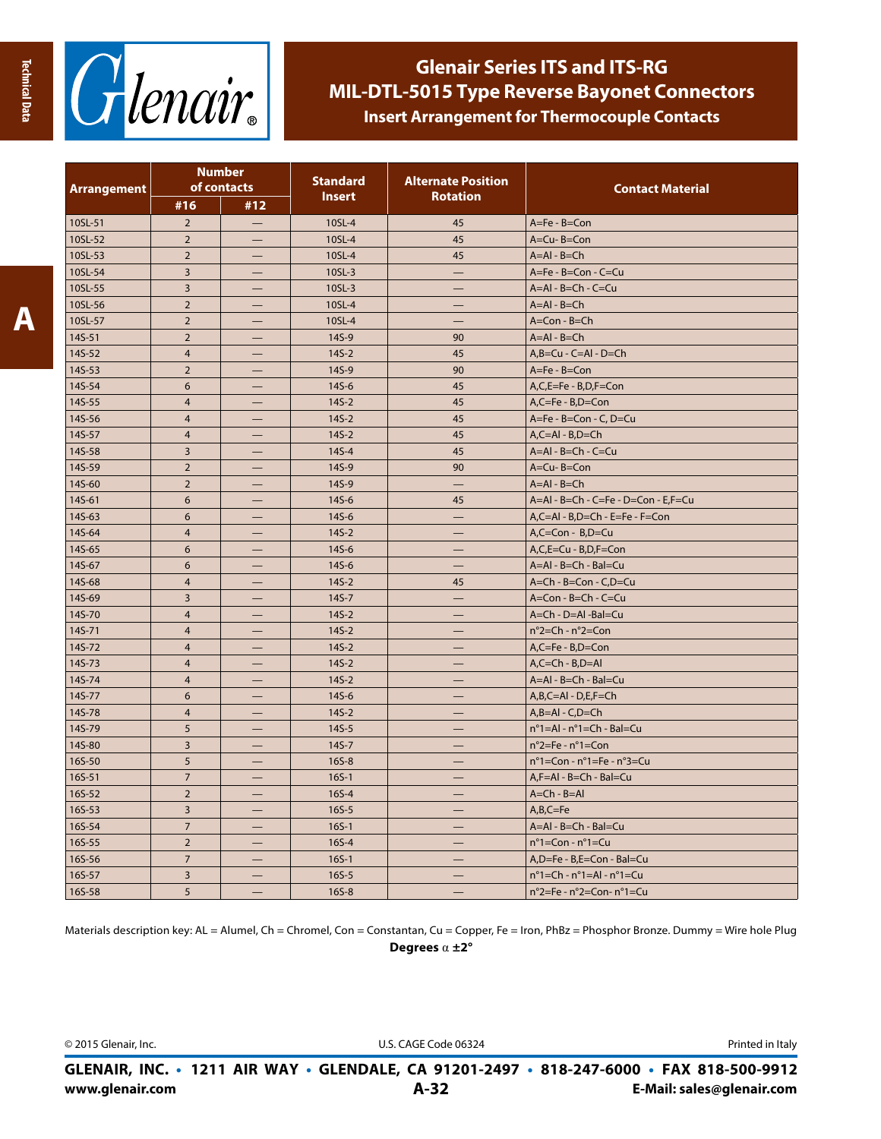

| <b>Arrangement</b> | <b>Number</b><br>of contacts |                   | <b>Standard</b><br><b>Insert</b> | <b>Alternate Position</b><br><b>Rotation</b> | <b>Contact Material</b>                                 |  |
|--------------------|------------------------------|-------------------|----------------------------------|----------------------------------------------|---------------------------------------------------------|--|
|                    | #16                          | #12               |                                  |                                              |                                                         |  |
| 10SL-51            | $\overline{2}$               | $\qquad \qquad -$ | 10SL-4                           | 45                                           | A=Fe - B=Con                                            |  |
| 10SL-52            | $\overline{2}$               |                   | 10SL-4                           | 45                                           | A=Cu-B=Con                                              |  |
| 10SL-53            | $\overline{2}$               |                   | 10SL-4                           | 45                                           | $A = AI - B = Ch$                                       |  |
| 10SL-54            | $\overline{3}$               |                   | 10SL-3                           | —                                            | A=Fe - B=Con - C=Cu                                     |  |
| 10SL-55            | $\overline{3}$               |                   | 10SL-3                           | –                                            | $A = AI - B = Ch - C = Cu$                              |  |
| 10SL-56            | $\overline{2}$               |                   | 10SL-4                           |                                              | $A = AI - B = Ch$                                       |  |
| 10SL-57            | $\mathbf 2$                  |                   | 10SL-4                           |                                              | $A = Con - B = Ch$                                      |  |
| 14S-51             | $\overline{2}$               |                   | 14S-9                            | 90                                           | $A = AI - B = Ch$                                       |  |
| 14S-52             | $\overline{4}$               |                   | $145 - 2$                        | 45                                           | $A,B=Cu - C = Al - D = Ch$                              |  |
| 14S-53             | $\overline{2}$               | -                 | 14S-9                            | 90                                           | $A = Fe - B = Con$                                      |  |
| 14S-54             | 6                            |                   | $145 - 6$                        | 45                                           | A,C,E=Fe - B,D,F=Con                                    |  |
| 14S-55             | $\overline{4}$               | —                 | $145-2$                          | 45                                           | $A, C = Fe - B, D = Con$                                |  |
| 14S-56             | $\overline{4}$               |                   | $145 - 2$                        | 45                                           | A=Fe - B=Con - C, D=Cu                                  |  |
| 14S-57             | $\overline{4}$               |                   | $145 - 2$                        | 45                                           | $A, C = AI - B, D = Ch$                                 |  |
| 14S-58             | $\overline{3}$               | —                 | $145 - 4$                        | 45                                           | $A = AI - B = Ch - C = Cu$                              |  |
| 14S-59             | $\overline{2}$               |                   | 14S-9                            | 90                                           | A=Cu-B=Con                                              |  |
| 14S-60             | $\overline{2}$               |                   | 14S-9                            | -                                            | $A = AI - B = Ch$                                       |  |
| 14S-61             | 6                            | —                 | $145 - 6$                        | 45                                           | A=Al - B=Ch - C=Fe - D=Con - E,F=Cu                     |  |
| 14S-63             | 6                            |                   | 14S-6                            |                                              | A,C=Al - B,D=Ch - E=Fe - F=Con                          |  |
| 14S-64             | $\overline{4}$               |                   | $145-2$                          |                                              | A,C=Con - B,D=Cu                                        |  |
| 14S-65             | 6                            |                   | $145 - 6$                        | –                                            | A,C,E=Cu - B,D,F=Con                                    |  |
| 14S-67             | 6                            |                   | 14S-6                            |                                              | A=AI - B=Ch - Bal=Cu                                    |  |
| 14S-68             | $\overline{4}$               |                   | $145 - 2$                        | 45                                           | A=Ch - B=Con - C,D=Cu                                   |  |
| 14S-69             | 3                            | —                 | $145 - 7$                        | -                                            | A=Con - B=Ch - C=Cu                                     |  |
| 14S-70             | $\overline{4}$               |                   | $145 - 2$                        |                                              | A=Ch - D=Al -Bal=Cu                                     |  |
| 14S-71             | $\overline{4}$               |                   | $145 - 2$                        |                                              | $n^{\circ}$ 2=Ch - $n^{\circ}$ 2=Con                    |  |
| 14S-72             | $\overline{4}$               | —                 | $145 - 2$                        | —                                            | $A, C = Fe - B, D = Con$                                |  |
| 14S-73             | $\overline{4}$               |                   | $145-2$                          |                                              | $A, C = Ch - B, D = Al$                                 |  |
| 14S-74             | $\overline{4}$               |                   | $145 - 2$                        |                                              | A=Al - B=Ch - Bal=Cu                                    |  |
| 14S-77             | 6                            | —                 | $145 - 6$                        | —                                            | $A, B, C = AI - D, E, F = Ch$                           |  |
| 14S-78             | $\overline{4}$               |                   | $145 - 2$                        | --                                           | $A,B=AI - C,D=Ch$                                       |  |
| 14S-79             | 5                            |                   | $145 - 5$                        |                                              | $n^{\circ}$ 1=Al - $n^{\circ}$ 1=Ch - Bal=Cu            |  |
| 14S-80             | $\overline{3}$               |                   | $145 - 7$                        |                                              | $n^{\circ}$ 2=Fe - $n^{\circ}$ 1=Con                    |  |
| 16S-50             | 5                            |                   | $165 - 8$                        | –                                            | $n^{\circ}$ 1=Con - $n^{\circ}$ 1=Fe - $n^{\circ}$ 3=Cu |  |
| 16S-51             | $\overline{7}$               |                   | $165 - 1$                        |                                              | $A.F = AI - B = Ch - Bal = Cu$                          |  |
| 16S-52             | $\overline{2}$               | -                 | $165 - 4$                        |                                              | $A = Ch - B = AI$                                       |  |
| 16S-53             | $\overline{3}$               |                   | $165 - 5$                        |                                              | $A,B,C=Fe$                                              |  |
| 16S-54             | $\overline{7}$               |                   | $165 - 1$                        |                                              | A=Al - B=Ch - Bal=Cu                                    |  |
| 16S-55             | $\overline{2}$               |                   | $165 - 4$                        |                                              | $n^{\circ}$ 1=Con - $n^{\circ}$ 1=Cu                    |  |
| 16S-56             | $\overline{7}$               |                   | $165-1$                          |                                              | A,D=Fe - B,E=Con - Bal=Cu                               |  |
| 16S-57             | $\overline{3}$               |                   | $165 - 5$                        |                                              | $n^{\circ}$ 1=Ch - $n^{\circ}$ 1=Al - $n^{\circ}$ 1=Cu  |  |
| 16S-58             | 5                            |                   | $165 - 8$                        |                                              | $n^{\circ}$ 2=Fe - $n^{\circ}$ 2=Con- $n^{\circ}$ 1=Cu  |  |

Materials description key: AL = Alumel, Ch = Chromel, Con = Constantan, Cu = Copper, Fe = Iron, PhBz = Phosphor Bronze. Dummy = Wire hole Plug **Degrees** α **±2°**

© 2015 Glenair, Inc. U.S. CAGE Code 06324 Printed in Italy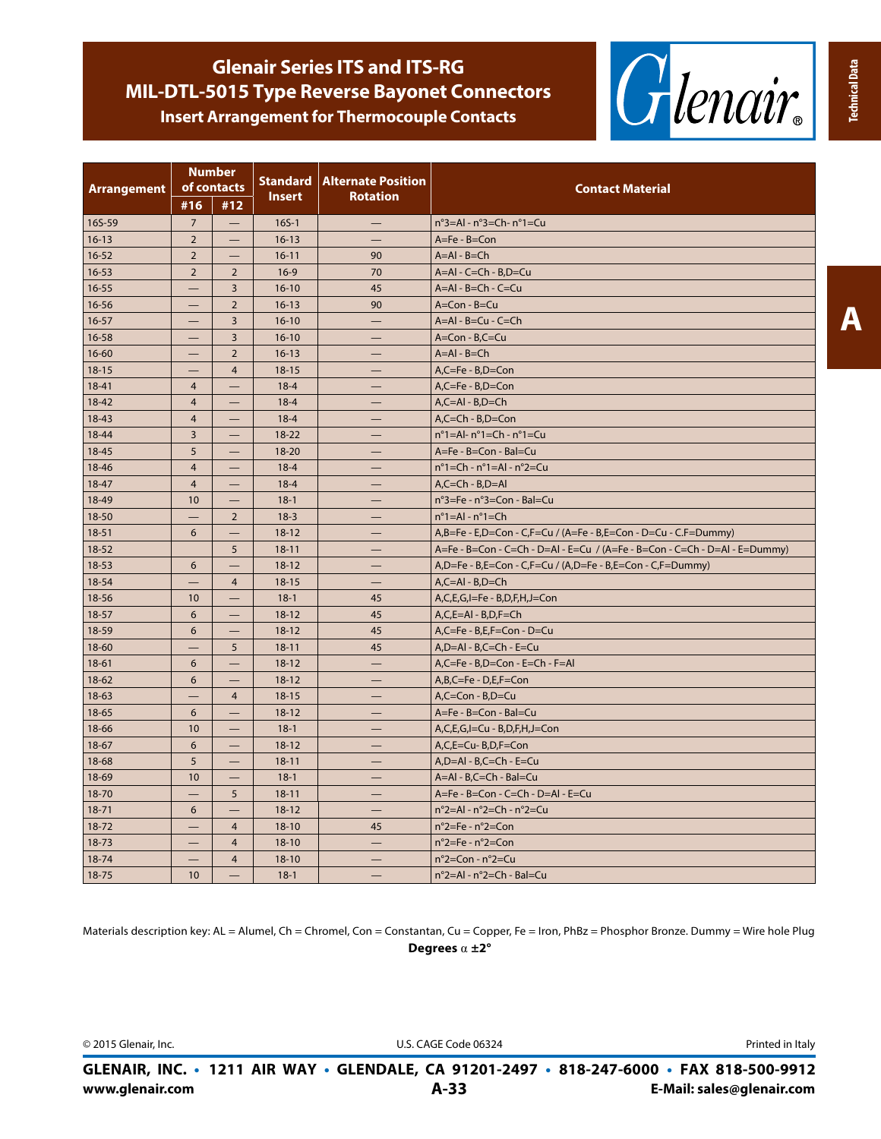

| <b>Arrangement</b> | <b>Number</b><br>of contacts |                          |               | <b>Standard   Alternate Position</b> | <b>Contact Material</b>                                                    |  |
|--------------------|------------------------------|--------------------------|---------------|--------------------------------------|----------------------------------------------------------------------------|--|
|                    | #16                          | #12                      | <b>Insert</b> | <b>Rotation</b>                      |                                                                            |  |
| 16S-59             | $\overline{7}$               | $\qquad \qquad -$        | $165 - 1$     |                                      | $n^{\circ}$ 3=Al - $n^{\circ}$ 3=Ch- $n^{\circ}$ 1=Cu                      |  |
| $16 - 13$          | $\overline{2}$               | $\overline{\phantom{0}}$ | $16 - 13$     |                                      | $A = Fe - B = Con$                                                         |  |
| $16 - 52$          | $\overline{2}$               | $\overline{\phantom{0}}$ | $16 - 11$     | 90                                   | $A = AI - B = Ch$                                                          |  |
| $16 - 53$          | $\overline{2}$               | $\overline{2}$           | $16-9$        | 70                                   | $A = AI - C = Ch - B, D = Cu$                                              |  |
| $16 - 55$          |                              | 3                        | $16 - 10$     | 45<br>$A = AI - B = Ch - C = Cu$     |                                                                            |  |
| $16 - 56$          |                              | $\overline{2}$           | $16 - 13$     | 90                                   | $A = Con - B = Cu$                                                         |  |
| $16 - 57$          |                              | 3                        | $16 - 10$     |                                      | $A = AI - B = Cu - C = Ch$                                                 |  |
| $16 - 58$          |                              | $\overline{3}$           | $16-10$       |                                      | $A = Con - B, C = Cu$                                                      |  |
| $16 - 60$          |                              | $\overline{2}$           | $16 - 13$     |                                      | $A = AI - B = Ch$                                                          |  |
| $18 - 15$          |                              | $\overline{4}$           | $18 - 15$     |                                      | A,C=Fe - B,D=Con                                                           |  |
| 18-41              | $\overline{4}$               |                          | $18 - 4$      |                                      | $A, C = Fe - B, D = Con$                                                   |  |
| $18 - 42$          | 4                            |                          | $18 - 4$      |                                      | $A, C = AI - B, D = Ch$                                                    |  |
| $18 - 43$          | $\overline{4}$               |                          | $18 - 4$      |                                      | $A, C = Ch - B, D = Con$                                                   |  |
| 18-44              | $\overline{3}$               |                          | $18 - 22$     |                                      | $n^{\circ}$ 1=Al- $n^{\circ}$ 1=Ch - $n^{\circ}$ 1=Cu                      |  |
| $18 - 45$          | 5                            |                          | $18 - 20$     |                                      | A=Fe - B=Con - Bal=Cu                                                      |  |
| 18-46              | $\overline{4}$               |                          | $18 - 4$      | -                                    | $n^{\circ}$ 1=Ch - $n^{\circ}$ 1=Al - $n^{\circ}$ 2=Cu                     |  |
| $18 - 47$          | $\overline{4}$               | -                        | $18 - 4$      | —                                    | $A, C = Ch - B, D = AI$                                                    |  |
| 18-49              | 10                           | -                        | $18-1$        | —                                    | n°3=Fe - n°3=Con - Bal=Cu                                                  |  |
| 18-50              |                              | $\overline{2}$           | $18-3$        | $n^{\circ}$ 1=Al - $n^{\circ}$ 1=Ch  |                                                                            |  |
| $18 - 51$          | 6                            |                          | $18 - 12$     | —                                    | A,B=Fe - E,D=Con - C,F=Cu / (A=Fe - B,E=Con - D=Cu - C.F=Dummy)            |  |
| $18 - 52$          |                              | 5                        | $18 - 11$     |                                      | A=Fe - B=Con - C=Ch - D=Al - E=Cu / (A=Fe - B=Con - C=Ch - D=Al - E=Dummy) |  |
| $18 - 53$          | 6                            |                          | $18 - 12$     |                                      | A,D=Fe - B,E=Con - C,F=Cu / (A,D=Fe - B,E=Con - C,F=Dummy)                 |  |
| 18-54              |                              | $\overline{4}$           | $18 - 15$     |                                      | $A, C = AI - B, D = Ch$                                                    |  |
| 18-56              | 10 <sup>10</sup>             |                          | $18-1$        | 45                                   | A,C,E,G,I=Fe - B,D,F,H,J=Con                                               |  |
| $18 - 57$          | 6                            |                          | $18 - 12$     | 45                                   | $A, C, E = AI - B, D, F = Ch$                                              |  |
| 18-59              | 6                            |                          | $18 - 12$     | 45                                   | $A, C = Fe - B, E, F = Con - D = Cu$                                       |  |
| $18 - 60$          |                              | 5                        | $18 - 11$     | 45                                   | $A, D = A1 - B, C = Ch - E = Cu$                                           |  |
| $18-61$            | 6                            |                          | $18 - 12$     |                                      | A,C=Fe - B,D=Con - E=Ch - F=Al                                             |  |
| $18-62$            | 6                            |                          | $18 - 12$     |                                      | $A, B, C = Fe - D, E, F = Con$                                             |  |
| $18-63$            |                              | $\overline{4}$           | $18 - 15$     |                                      | $A, C = Con - B, D = Cu$                                                   |  |
| 18-65              | 6                            | $\overline{\phantom{0}}$ | $18 - 12$     |                                      | A=Fe - B=Con - Bal=Cu                                                      |  |
| 18-66              | 10                           | <u>—</u>                 | $18-1$        | —                                    | $A, C, E, G, I = Cu - B, D, F, H, J = Con$                                 |  |
| $18-67$            | 6                            |                          | $18 - 12$     |                                      | A,C,E=Cu-B,D,F=Con                                                         |  |
| 18-68              | 5                            |                          | $18 - 11$     |                                      | $A, D = AI - B, C = Ch - E = Cu$                                           |  |
| 18-69              | 10 <sup>10</sup>             | —                        | $18-1$        | —                                    | A=Al - B,C=Ch - Bal=Cu                                                     |  |
| 18-70              |                              | 5                        | $18 - 11$     |                                      | A=Fe - B=Con - C=Ch - D=Al - E=Cu                                          |  |

Materials description key: AL = Alumel, Ch = Chromel, Con = Constantan, Cu = Copper, Fe = Iron, PhBz = Phosphor Bronze. Dummy = Wire hole Plug **Degrees** α **±2°**

18-71 6  $-$  18-12  $-$  n°2=Al - n°2=Ch - n°2=Cu 18-72  $| - | 4 | 18-10 | 45$   $| n^{\circ}2=Fe - n^{\circ}2=Con$ 18-73 –  $\begin{vmatrix} - & 4 & 18 & -10 \\ 1 & - & 4 & 18 & -10 \\ 1 & 1 & - & 1 & 18 & -10 \\ 1 & 1 & 1 & 1 & 16 & -10 \\ 1 & 1 & 1 & 1 & 16 & -10 \\ 1 & 1 & 1 & 1 & 16 & -10 \\ 1 & 1 & 1 & 1 & 16 & -10 \\ 1 & 1 & 1 & 1 & 16 & -10 & -10 \\ 1 & 1 & 1 & 1 & 16 & -10 & -10 \\ 1 & 1 & 1 & 1 & 16 & -10 & -10 & -10 \\ 1$  $18-74$   $4$   $18-10$   $n^{\circ}2=Con-n^{\circ}2=Cu$ 18-75 10  $-$  18-1  $-$  18-1  $n^{\circ}$  2=Al -  $n^{\circ}$  =Ch - Bal=Cu

© 2015 Glenair, Inc. **Discription Contract Code Code Code 06324** Printed in Italy

**www.glenair.com A-33 E-Mail: sales@glenair.com GLENAIR, INC. • 1211 AIR WAY • GLENDALE, CA 91201-2497 • 818-247-6000 • FAX 818-500-9912**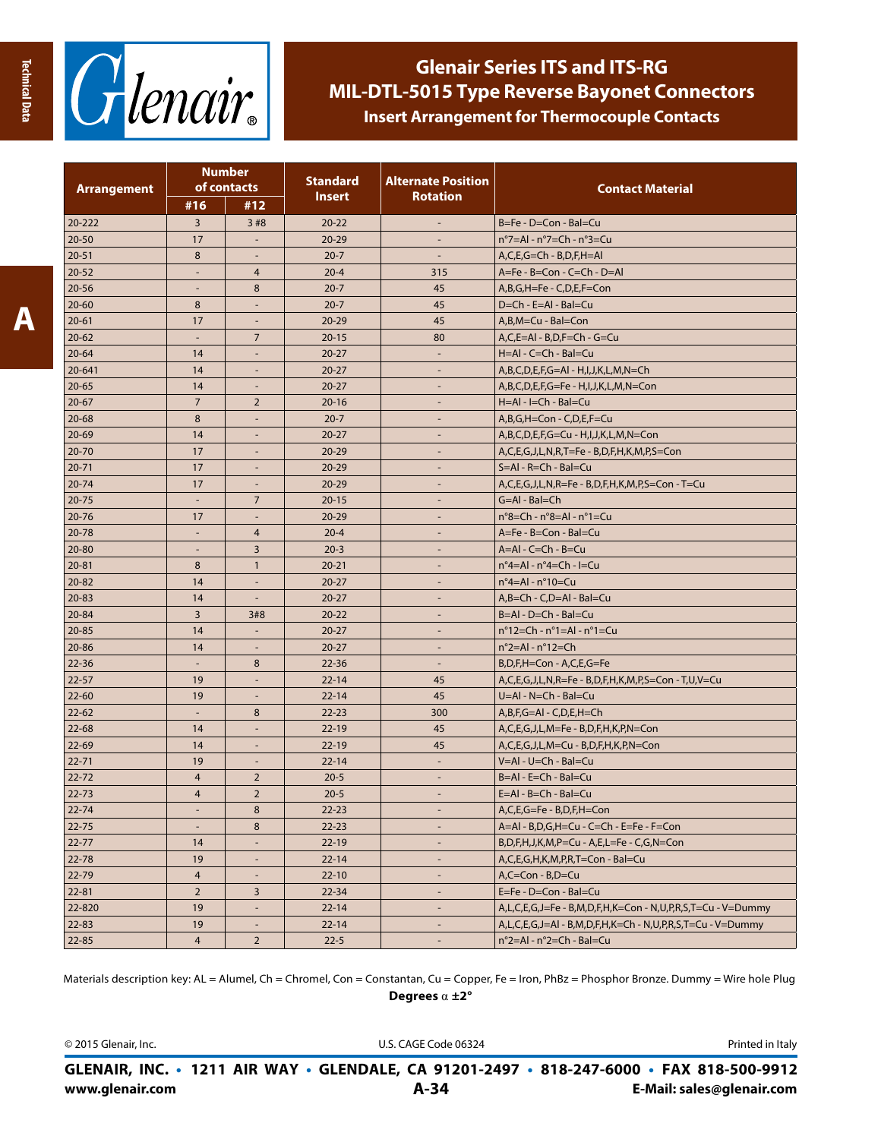

| <b>Arrangement</b>   | <b>Number</b><br>of contacts |                          | <b>Standard</b> | <b>Alternate Position</b> | <b>Contact Material</b>                                     |  |
|----------------------|------------------------------|--------------------------|-----------------|---------------------------|-------------------------------------------------------------|--|
|                      | #16                          | #12                      | Insert          | <b>Rotation</b>           |                                                             |  |
| 20-222               | 3                            | 3#8                      | $20 - 22$       |                           | B=Fe - D=Con - Bal=Cu                                       |  |
| $20 - 50$            | 17                           |                          | $20 - 29$       |                           | $n^{\circ}$ 7=Al - $n^{\circ}$ 7=Ch - $n^{\circ}$ 3=Cu      |  |
| $20 - 51$            | 8                            |                          | $20 - 7$        |                           | $A, C, E, G = Ch - B, D, F, H = AI$                         |  |
| $20 - 52$            | $\blacksquare$               | $\overline{4}$           | $20 - 4$        | 315                       | A=Fe - B=Con - C=Ch - D=Al                                  |  |
| $20 - 56$            | $\overline{\phantom{a}}$     | 8                        | $20 - 7$        | 45                        | A,B,G,H=Fe - C,D,E,F=Con                                    |  |
| $20 - 60$            | 8                            | $\overline{\phantom{a}}$ | $20 - 7$        | 45                        | D=Ch - E=Al - Bal=Cu                                        |  |
| $20 - 61$            | 17                           | $\overline{\phantom{a}}$ | $20 - 29$       | 45                        | A,B,M=Cu - Bal=Con                                          |  |
| $20 - 62$            |                              | $\overline{7}$           | $20 - 15$       | 80                        | A,C,E=AI - B,D,F=Ch - G=Cu                                  |  |
| $20 - 64$            | 14                           | $\overline{\phantom{a}}$ | $20 - 27$       | $\sim$                    | H=AI - C=Ch - Bal=Cu                                        |  |
| 20-641               | 14                           |                          | $20 - 27$       | $\overline{\phantom{a}}$  | A,B,C,D,E,F,G=Al - H,I,J,K,L,M,N=Ch                         |  |
| $20 - 65$            | 14                           |                          | $20 - 27$       |                           | A,B,C,D,E,F,G=Fe - H,I,J,K,L,M,N=Con                        |  |
| $20 - 67$            | $\overline{7}$               | $\overline{2}$           | $20 - 16$       |                           | H=Al - I=Ch - Bal=Cu                                        |  |
| 20-68                | 8                            | $\overline{\phantom{a}}$ | $20 - 7$        | $\sim$                    | A,B,G,H=Con - C,D,E,F=Cu                                    |  |
| $20 - 69$            | 14                           | $\overline{\phantom{a}}$ | $20 - 27$       | $\overline{\phantom{a}}$  | A,B,C,D,E,F,G=Cu - H,I,J,K,L,M,N=Con                        |  |
| $20 - 70$            | 17                           | $\overline{\phantom{a}}$ | $20 - 29$       | $\overline{\phantom{a}}$  | A,C,E,G,J,L,N,R,T=Fe - B,D,F,H,K,M,P,S=Con                  |  |
| $20 - 71$            | 17                           | $\overline{\phantom{a}}$ | $20 - 29$       |                           | $S = AI - R = Ch - Bal = Cu$                                |  |
| 20-74                | 17                           |                          | $20 - 29$       |                           | A,C,E,G,J,L,N,R=Fe - B,D,F,H,K,M,P,S=Con - T=Cu             |  |
| 20-75                |                              | $\overline{7}$           | $20 - 15$       |                           | $G = AI - Bal = Ch$                                         |  |
| $20 - 76$            | 17                           |                          | $20 - 29$       | $\overline{\phantom{a}}$  | $n^{\circ}$ 8=Ch - $n^{\circ}$ 8=Al - $n^{\circ}$ 1=Cu      |  |
| $20 - 78$            |                              | $\overline{4}$           | $20 - 4$        |                           | A=Fe - B=Con - Bal=Cu                                       |  |
| 20-80                | ÷,                           | 3                        | $20 - 3$        |                           | $A = AI - C = Ch - B = Cu$                                  |  |
| $20 - 81$            | 8                            | $\mathbf{1}$             | $20 - 21$       | $\sim$                    | n°4=Al - n°4=Ch - I=Cu                                      |  |
| 20-82                | 14                           | $\overline{\phantom{a}}$ | $20 - 27$       | $\overline{\phantom{a}}$  | $n^{\circ}$ 4=Al - $n^{\circ}$ 10=Cu                        |  |
| 20-83                | 14                           | $\overline{\phantom{a}}$ | $20 - 27$       | $\overline{\phantom{a}}$  | $A,B=Ch - C,D = Al - Bal = Cu$                              |  |
| 20-84                | $\overline{3}$               | 3#8                      | $20 - 22$       | $\sim$                    | B=Al - D=Ch - Bal=Cu                                        |  |
| 20-85                | 14                           |                          | $20 - 27$       |                           | $n^{\circ}$ 12=Ch - $n^{\circ}$ 1=Al - $n^{\circ}$ 1=Cu     |  |
| 20-86                | 14                           | $\overline{\phantom{a}}$ | $20 - 27$       | $\overline{\phantom{a}}$  | $n^{\circ}$ 2=Al - $n^{\circ}$ 12=Ch                        |  |
| $22 - 36$            | $\overline{\phantom{a}}$     | 8                        | $22 - 36$       | $\overline{\phantom{a}}$  | B,D,F,H=Con - A,C,E,G=Fe                                    |  |
| $22 - 57$            | 19                           |                          | $22 - 14$       | 45                        | A,C,E,G,J,L,N,R=Fe - B,D,F,H,K,M,P,S=Con - T,U,V=Cu         |  |
| $22 - 60$            | 19                           |                          | $22 - 14$       | 45                        | U=AI - N=Ch - Bal=Cu                                        |  |
| $22 - 62$            | $\blacksquare$               | 8                        | $22 - 23$       | 300                       | $A,B,F,G=AI - C,D,E,H=Ch$                                   |  |
| 22-68                | 14                           | $\overline{\phantom{a}}$ | $22 - 19$       | 45                        | A,C,E,G,J,L,M=Fe - B,D,F,H,K,P,N=Con                        |  |
| $22 - 69$            | 14                           | $\overline{\phantom{a}}$ | $22 - 19$       | 45                        | A,C,E,G,J,L,M=Cu - B,D,F,H,K,P,N=Con                        |  |
| $22 - 71$            | 19                           | $\overline{\phantom{a}}$ | $22 - 14$       | $\overline{\phantom{a}}$  | V=AI - U=Ch - BaI=Cu                                        |  |
| 22-72                | $\overline{4}$               | $\overline{2}$           | $20 - 5$        |                           | B=AI - E=Ch - Bal=Cu                                        |  |
| 22-73                | $\overline{4}$               | $\overline{2}$           | $20 - 5$        | $\sim$                    | $E = AI - B = Ch - Bal = Cu$                                |  |
| $\overline{22 - 74}$ |                              | $\bf 8$                  | $22 - 23$       | $\overline{\phantom{a}}$  | A,C,E,G=Fe - B,D,F,H=Con                                    |  |
| $22 - 75$            |                              | 8                        | $22 - 23$       | $\overline{\phantom{a}}$  | A=Al - B,D,G,H=Cu - C=Ch - E=Fe - F=Con                     |  |
| $22 - 77$            | 14                           |                          | $22 - 19$       |                           | B,D,F,H,J,K,M,P=Cu - A,E,L=Fe - C,G,N=Con                   |  |
| 22-78                | 19                           | $\blacksquare$           | $22 - 14$       | $\overline{\phantom{a}}$  | A,C,E,G,H,K,M,P,R,T=Con - Bal=Cu                            |  |
| 22-79                | $\overline{4}$               | $\blacksquare$           | $22 - 10$       | $\overline{\phantom{a}}$  | $A, C = Con - B, D = Cu$                                    |  |
| $22 - 81$            | $\overline{2}$               | 3                        | $22 - 34$       | $\overline{\phantom{a}}$  | E=Fe - D=Con - Bal=Cu                                       |  |
| 22-820               | 19                           | $\overline{\phantom{a}}$ | $22 - 14$       | $\overline{\phantom{a}}$  | A,L,C,E,G,J=Fe - B,M,D,F,H,K=Con - N,U,P,R,S,T=Cu - V=Dummy |  |
| $22 - 83$            | 19                           | $\overline{\phantom{a}}$ | $22 - 14$       | $\overline{\phantom{a}}$  | A,L,C,E,G,J=Al - B,M,D,F,H,K=Ch - N,U,P,R,S,T=Cu - V=Dummy  |  |
| $22 - 85$            | $\overline{4}$               | $\overline{2}$           | $22 - 5$        |                           | n°2=Al - n°2=Ch - Bal=Cu                                    |  |

Materials description key: AL = Alumel, Ch = Chromel, Con = Constantan, Cu = Copper, Fe = Iron, PhBz = Phosphor Bronze. Dummy = Wire hole Plug **Degrees** α **±2°**

© 2015 Glenair, Inc. U.S. CAGE Code 06324 Printed in Italy

**www.glenair.com A-34 E-Mail: sales@glenair.com GLENAIR, INC. • 1211 AIR WAY • GLENDALE, CA 91201-2497 • 818-247-6000 • FAX 818-500-9912**